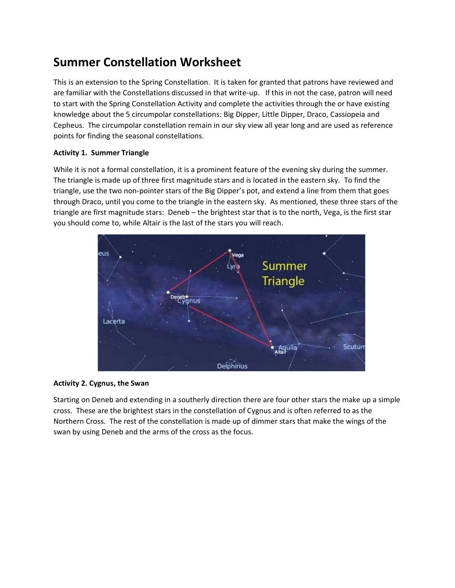# **Summer Constellation Worksheet**

This is an extension to the Spring Constellation. It is taken for granted that patrons have reviewed and are familiar with the Constellations discussed in that write-up. If this in not the case, patron will need to start with the Spring Constellation Activity and complete the activities through the or have existing knowledge about the 5 circumpolar constellations: Big Dipper, Little Dipper, Draco, Cassiopeia and Cepheus. The circumpolar constellation remain in our sky view all year long and are used as reference points for finding the seasonal constellations.

# **Activity 1. Summer Triangle**

While it is not a formal constellation, it is a prominent feature of the evening sky during the summer. The triangle is made up of three first magnitude stars and is located in the eastern sky. To find the triangle, use the two non-pointer stars of the Big Dipper's pot, and extend a line from them that goes through Draco, until you come to the triangle in the eastern sky. As mentioned, these three stars of the triangle are first magnitude stars: Deneb – the brightest star that is to the north, Vega, is the first star you should come to, while Altair is the last of the stars you will reach.





Starting on Deneb and extending in a southerly direction there are four other stars the make up a simple cross. These are the brightest stars in the constellation of Cygnus and is often referred to as the Northern Cross. The rest of the constellation is made up of dimmer stars that make the wings of the swan by using Deneb and the arms of the cross as the focus.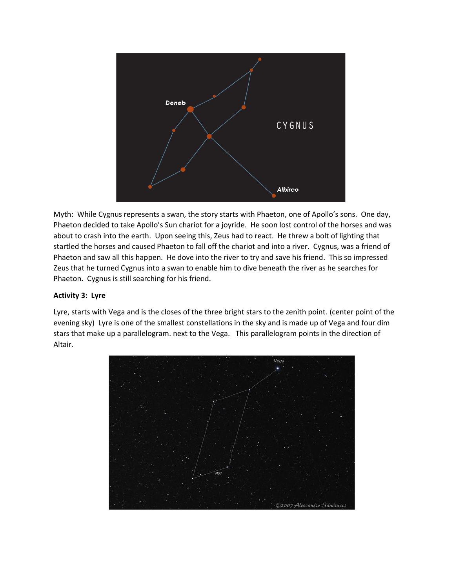

Myth: While Cygnus represents a swan, the story starts with Phaeton, one of Apollo's sons. One day, Phaeton decided to take Apollo's Sun chariot for a joyride. He soon lost control of the horses and was about to crash into the earth. Upon seeing this, Zeus had to react. He threw a bolt of lighting that startled the horses and caused Phaeton to fall off the chariot and into a river. Cygnus, was a friend of Phaeton and saw all this happen. He dove into the river to try and save his friend. This so impressed Zeus that he turned Cygnus into a swan to enable him to dive beneath the river as he searches for Phaeton. Cygnus is still searching for his friend.

## **Activity 3: Lyre**

Lyre, starts with Vega and is the closes of the three bright stars to the zenith point. (center point of the evening sky) Lyre is one of the smallest constellations in the sky and is made up of Vega and four dim stars that make up a parallelogram. next to the Vega. This parallelogram points in the direction of Altair.

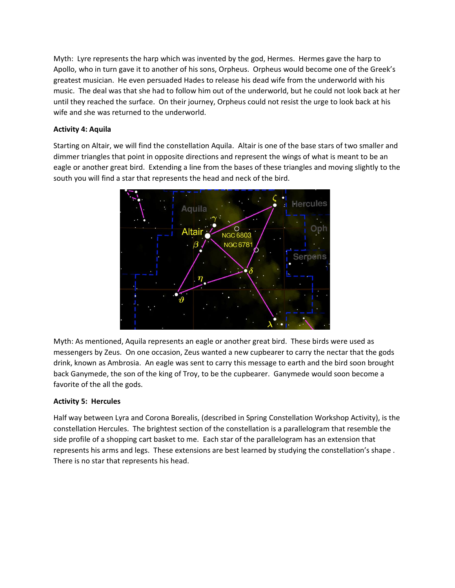Myth: Lyre represents the harp which was invented by the god, Hermes. Hermes gave the harp to Apollo, who in turn gave it to another of his sons, Orpheus. Orpheus would become one of the Greek's greatest musician. He even persuaded Hades to release his dead wife from the underworld with his music. The deal was that she had to follow him out of the underworld, but he could not look back at her until they reached the surface. On their journey, Orpheus could not resist the urge to look back at his wife and she was returned to the underworld.

# **Activity 4: Aquila**

Starting on Altair, we will find the constellation Aquila. Altair is one of the base stars of two smaller and dimmer triangles that point in opposite directions and represent the wings of what is meant to be an eagle or another great bird. Extending a line from the bases of these triangles and moving slightly to the south you will find a star that represents the head and neck of the bird.



Myth: As mentioned, Aquila represents an eagle or another great bird. These birds were used as messengers by Zeus. On one occasion, Zeus wanted a new cupbearer to carry the nectar that the gods drink, known as Ambrosia. An eagle was sent to carry this message to earth and the bird soon brought back Ganymede, the son of the king of Troy, to be the cupbearer. Ganymede would soon become a favorite of the all the gods.

#### **Activity 5: Hercules**

Half way between Lyra and Corona Borealis, (described in Spring Constellation Workshop Activity), is the constellation Hercules. The brightest section of the constellation is a parallelogram that resemble the side profile of a shopping cart basket to me. Each star of the parallelogram has an extension that represents his arms and legs. These extensions are best learned by studying the constellation's shape . There is no star that represents his head.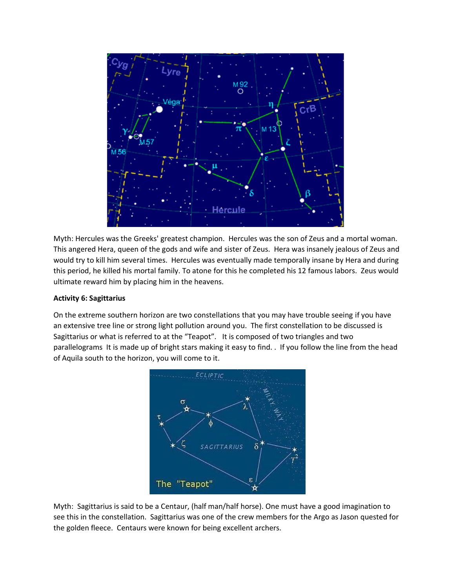

Myth: Hercules was the Greeks' greatest champion. Hercules was the son of Zeus and a mortal woman. This angered Hera, queen of the gods and wife and sister of Zeus. Hera was insanely jealous of Zeus and would try to kill him several times. Hercules was eventually made temporally insane by Hera and during this period, he killed his mortal family. To atone for this he completed his 12 famous labors. Zeus would ultimate reward him by placing him in the heavens.

## **Activity 6: Sagittarius**

On the extreme southern horizon are two constellations that you may have trouble seeing if you have an extensive tree line or strong light pollution around you. The first constellation to be discussed is Sagittarius or what is referred to at the "Teapot". It is composed of two triangles and two parallelograms It is made up of bright stars making it easy to find. . If you follow the line from the head of Aquila south to the horizon, you will come to it.



Myth: Sagittarius is said to be a Centaur, (half man/half horse). One must have a good imagination to see this in the constellation. Sagittarius was one of the crew members for the Argo as Jason quested for the golden fleece. Centaurs were known for being excellent archers.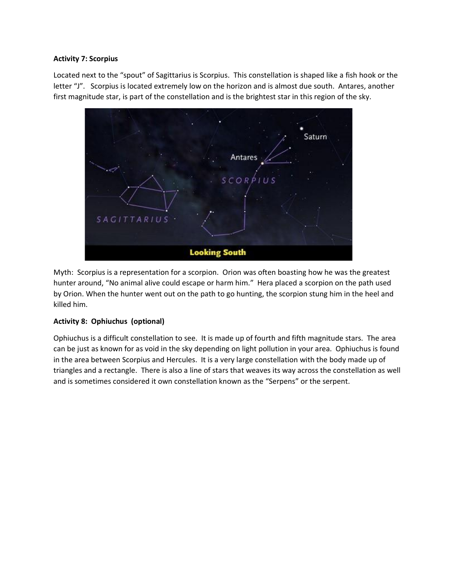#### **Activity 7: Scorpius**

Located next to the "spout" of Sagittarius is Scorpius. This constellation is shaped like a fish hook or the letter "J". Scorpius is located extremely low on the horizon and is almost due south. Antares, another first magnitude star, is part of the constellation and is the brightest star in this region of the sky.

Saturn Antares  $SCORP$  $IUS$ **SAGITTARIUS Looking South** 

Myth: Scorpius is a representation for a scorpion. Orion was often boasting how he was the greatest hunter around, "No animal alive could escape or harm him." Hera placed a scorpion on the path used by Orion. When the hunter went out on the path to go hunting, the scorpion stung him in the heel and killed him.

#### **Activity 8: Ophiuchus (optional)**

Ophiuchus is a difficult constellation to see. It is made up of fourth and fifth magnitude stars. The area can be just as known for as void in the sky depending on light pollution in your area. Ophiuchus is found in the area between Scorpius and Hercules. It is a very large constellation with the body made up of triangles and a rectangle. There is also a line of stars that weaves its way across the constellation as well and is sometimes considered it own constellation known as the "Serpens" or the serpent.